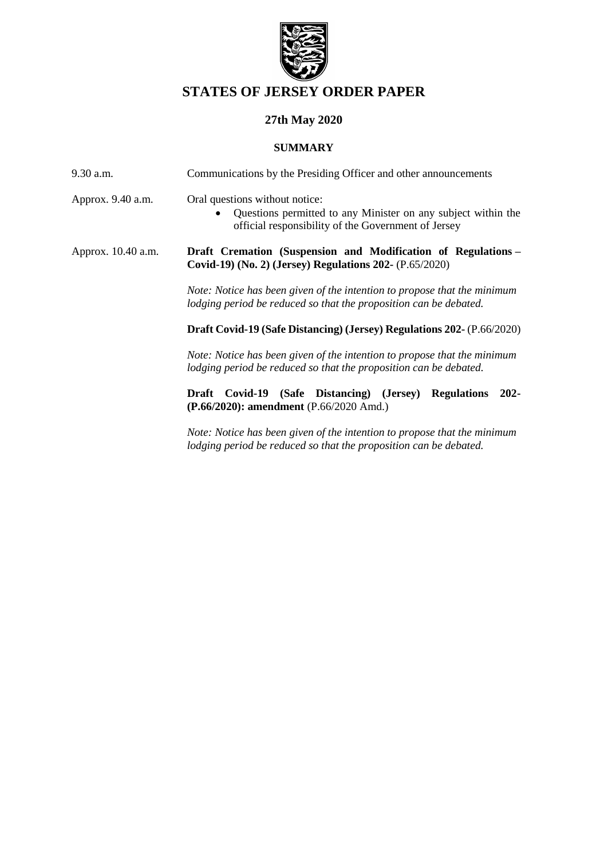

# **STATES OF JERSEY ORDER PAPER**

# **27th May 2020**

## **SUMMARY**

| $9.30$ a.m.        | Communications by the Presiding Officer and other announcements                                                                                        |  |
|--------------------|--------------------------------------------------------------------------------------------------------------------------------------------------------|--|
| Approx. 9.40 a.m.  | Oral questions without notice:<br>Questions permitted to any Minister on any subject within the<br>official responsibility of the Government of Jersey |  |
| Approx. 10.40 a.m. | Draft Cremation (Suspension and Modification of Regulations –<br>Covid-19) (No. 2) (Jersey) Regulations 202- (P.65/2020)                               |  |
|                    | Note: Notice has been given of the intention to propose that the minimum<br>lodging period be reduced so that the proposition can be debated.          |  |
|                    | Draft Covid-19 (Safe Distancing) (Jersey) Regulations 202- (P.66/2020)                                                                                 |  |
|                    | Note: Notice has been given of the intention to propose that the minimum<br>lodging period be reduced so that the proposition can be debated.          |  |
|                    | (Safe Distancing) (Jersey)<br>Covid-19<br>$202 -$<br><b>Regulations</b><br>Draft<br>$(P.66/2020)$ : amendment (P.66/2020 Amd.)                         |  |
|                    | Note: Notice has been given of the intention to propose that the minimum<br>lodging period be reduced so that the proposition can be debated.          |  |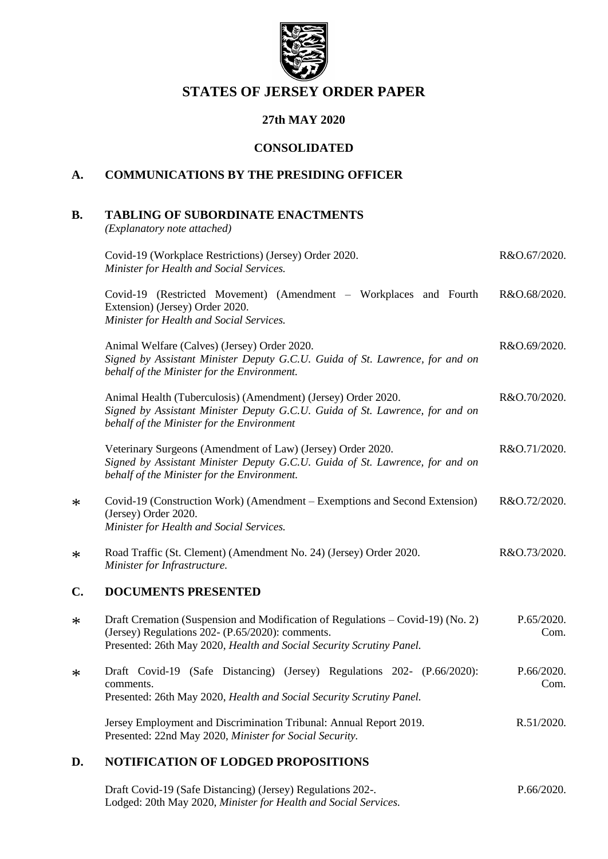

## **STATES OF JERSEY ORDER PAPER**

## **27th MAY 2020**

## **CONSOLIDATED**

## **A. COMMUNICATIONS BY THE PRESIDING OFFICER**

## **B. TABLING OF SUBORDINATE ENACTMENTS**

*(Explanatory note attached)*

\*

\*

\*

\*

|        | Covid-19 (Workplace Restrictions) (Jersey) Order 2020.<br>Minister for Health and Social Services.                                                                                                          | R&O.67/2020.       |
|--------|-------------------------------------------------------------------------------------------------------------------------------------------------------------------------------------------------------------|--------------------|
|        | Covid-19 (Restricted Movement) (Amendment – Workplaces and Fourth<br>Extension) (Jersey) Order 2020.<br>Minister for Health and Social Services.                                                            | R&O.68/2020.       |
|        | Animal Welfare (Calves) (Jersey) Order 2020.<br>Signed by Assistant Minister Deputy G.C.U. Guida of St. Lawrence, for and on<br>behalf of the Minister for the Environment.                                 | R&O.69/2020.       |
|        | Animal Health (Tuberculosis) (Amendment) (Jersey) Order 2020.<br>Signed by Assistant Minister Deputy G.C.U. Guida of St. Lawrence, for and on<br>behalf of the Minister for the Environment                 | R&O.70/2020.       |
|        | Veterinary Surgeons (Amendment of Law) (Jersey) Order 2020.<br>Signed by Assistant Minister Deputy G.C.U. Guida of St. Lawrence, for and on<br>behalf of the Minister for the Environment.                  | R&O.71/2020.       |
| $\ast$ | Covid-19 (Construction Work) (Amendment – Exemptions and Second Extension)<br>(Jersey) Order 2020.<br>Minister for Health and Social Services.                                                              | R&O.72/2020.       |
| $\ast$ | Road Traffic (St. Clement) (Amendment No. 24) (Jersey) Order 2020.<br>Minister for Infrastructure.                                                                                                          | R&O.73/2020.       |
| C.     | <b>DOCUMENTS PRESENTED</b>                                                                                                                                                                                  |                    |
| $\ast$ | Draft Cremation (Suspension and Modification of Regulations – Covid-19) (No. 2)<br>(Jersey) Regulations 202- (P.65/2020): comments.<br>Presented: 26th May 2020, Health and Social Security Scrutiny Panel. | P.65/2020.<br>Com. |
| $\ast$ | Draft Covid-19 (Safe Distancing) (Jersey) Regulations 202- (P.66/2020):<br>comments.<br>Presented: 26th May 2020, Health and Social Security Scrutiny Panel.                                                | P.66/2020.<br>Com. |
|        | Jersey Employment and Discrimination Tribunal: Annual Report 2019.<br>Presented: 22nd May 2020, Minister for Social Security.                                                                               | R.51/2020.         |

### **D. NOTIFICATION OF LODGED PROPOSITIONS**

[Draft Covid-19 \(Safe Distancing\) \(Jersey\) Regulations 202-.](https://statesassembly.gov.je/assemblypropositions/2020/p.66-2020.pdf) Lodged: 20th May 2020, *[Minister for Health and Social Services.](https://statesassembly.gov.je/assemblypropositions/2020/p.66-2020.pdf)* [P.66/2020.](https://statesassembly.gov.je/assemblypropositions/2020/p.66-2020.pdf)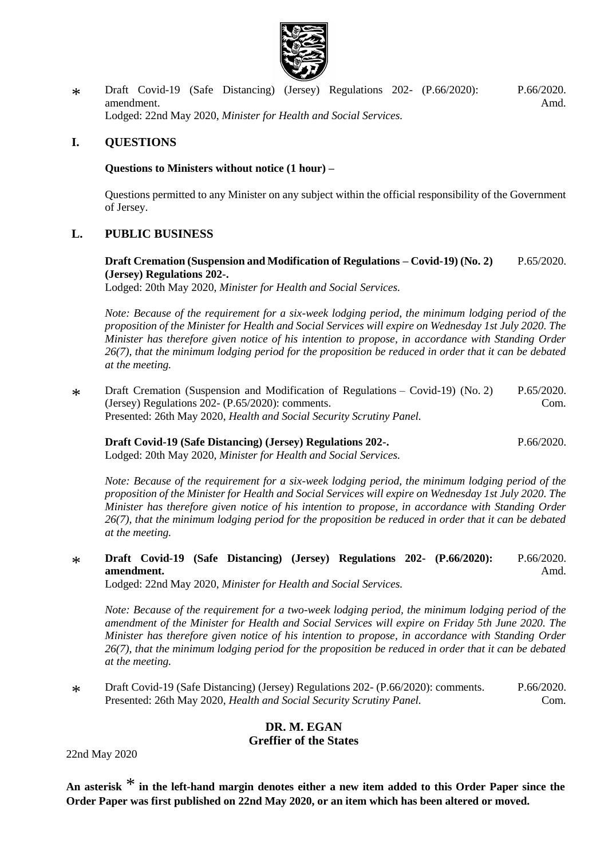

\* [Draft Covid-19 \(Safe Distancing\) \(Jersey\) Regulations 202-](https://statesassembly.gov.je/AssemblyPropositions/2020/P.66-2020Amd.pdf) (P.66/2020): [amendment.](https://statesassembly.gov.je/AssemblyPropositions/2020/P.66-2020Amd.pdf) Lodged: 22nd May 2020, *[Minister for Health and Social Services.](https://statesassembly.gov.je/AssemblyPropositions/2020/P.66-2020Amd.pdf)* [P.66/2020.](https://statesassembly.gov.je/AssemblyPropositions/2020/P.66-2020Amd.pdf) [Amd.](https://statesassembly.gov.je/AssemblyPropositions/2020/P.66-2020Amd.pdf)

## **I. QUESTIONS**

### **Questions to Ministers without notice (1 hour) –**

Questions permitted to any Minister on any subject within the official responsibility of the Government of Jersey.

## **L. PUBLIC BUSINESS**

**[Draft Cremation \(Suspension and Modification of Regulations](https://statesassembly.gov.je/Pages/Propositions.aspx?ref=P.65/2020&refurl=%2fPages%2fPropositions.aspx) – Covid-19) (No. 2) [\(Jersey\) Regulations 202-.](https://statesassembly.gov.je/Pages/Propositions.aspx?ref=P.65/2020&refurl=%2fPages%2fPropositions.aspx)** [P.65/2020.](https://statesassembly.gov.je/Pages/Propositions.aspx?ref=P.65/2020&refurl=%2fPages%2fPropositions.aspx)

Lodged: 20th May 2020, *[Minister for Health and Social Services.](https://statesassembly.gov.je/Pages/Propositions.aspx?ref=P.65/2020&refurl=%2fPages%2fPropositions.aspx)*

*Note: Because of the requirement for a six-week lodging period, the minimum lodging period of the proposition of the Minister for Health and Social Services will expire on Wednesday 1st July 2020. The Minister has therefore given notice of his intention to propose, in accordance with Standing Order 26(7), that the minimum lodging period for the proposition be reduced in order that it can be debated at the meeting.*

\* [Draft Cremation \(Suspension and Modification of Regulations](https://statesassembly.gov.je/AssemblyPropositions/2020/P.65-2020Com.pdf) – Covid-19) (No. 2) [\(Jersey\) Regulations 202-](https://statesassembly.gov.je/AssemblyPropositions/2020/P.65-2020Com.pdf) (P.65/2020): comments. Presented: 26th May 2020, *[Health and Social Security Scrutiny Panel.](https://statesassembly.gov.je/AssemblyPropositions/2020/P.65-2020Com.pdf)* [P.65/2020.](https://statesassembly.gov.je/AssemblyPropositions/2020/P.65-2020Com.pdf) [Com.](https://statesassembly.gov.je/AssemblyPropositions/2020/P.65-2020Com.pdf)

**[Draft Covid-19 \(Safe Distancing\) \(Jersey\) Regulations 202-.](https://statesassembly.gov.je/assemblypropositions/2020/p.66-2020.pdf)**

[P.66/2020.](https://statesassembly.gov.je/assemblypropositions/2020/p.66-2020.pdf)

Lodged: 20th May 2020, *[Minister for Health and Social Services.](https://statesassembly.gov.je/assemblypropositions/2020/p.66-2020.pdf)*

*Note: Because of the requirement for a six-week lodging period, the minimum lodging period of the proposition of the Minister for Health and Social Services will expire on Wednesday 1st July 2020. The Minister has therefore given notice of his intention to propose, in accordance with Standing Order 26(7), that the minimum lodging period for the proposition be reduced in order that it can be debated at the meeting.*

\* **[Draft Covid-19 \(Safe Distancing\) \(Jersey\) Regulations 202-](https://statesassembly.gov.je/AssemblyPropositions/2020/P.66-2020Amd.pdf) (P.66/2020): [amendment.](https://statesassembly.gov.je/AssemblyPropositions/2020/P.66-2020Amd.pdf)** [P.66/2020.](https://statesassembly.gov.je/AssemblyPropositions/2020/P.66-2020Amd.pdf) [Amd.](https://statesassembly.gov.je/AssemblyPropositions/2020/P.66-2020Amd.pdf)

Lodged: 22nd May 2020, *[Minister for Health and Social Services.](https://statesassembly.gov.je/AssemblyPropositions/2020/P.66-2020Amd.pdf)*

*Note: Because of the requirement for a two-week lodging period, the minimum lodging period of the amendment of the Minister for Health and Social Services will expire on Friday 5th June 2020. The Minister has therefore given notice of his intention to propose, in accordance with Standing Order 26(7), that the minimum lodging period for the proposition be reduced in order that it can be debated at the meeting.*

 $\ast$ [Draft Covid-19 \(Safe Distancing\) \(Jersey\) Regulations 202-](https://statesassembly.gov.je/AssemblyPropositions/2020/P.66-2020Com.pdf) (P.66/2020): comments. Presented: 26th May 2020, *[Health and Social Security Scrutiny Panel.](https://statesassembly.gov.je/AssemblyPropositions/2020/P.66-2020Com.pdf)* [P.66/2020.](https://statesassembly.gov.je/AssemblyPropositions/2020/P.66-2020Com.pdf) [Com.](https://statesassembly.gov.je/AssemblyPropositions/2020/P.66-2020Com.pdf)

## **DR. M. EGAN**

### **Greffier of the States**

22nd May 2020

**An asterisk** \* **in the left-hand margin denotes either a new item added to this Order Paper since the Order Paper was first published on 22nd May 2020, or an item which has been altered or moved.**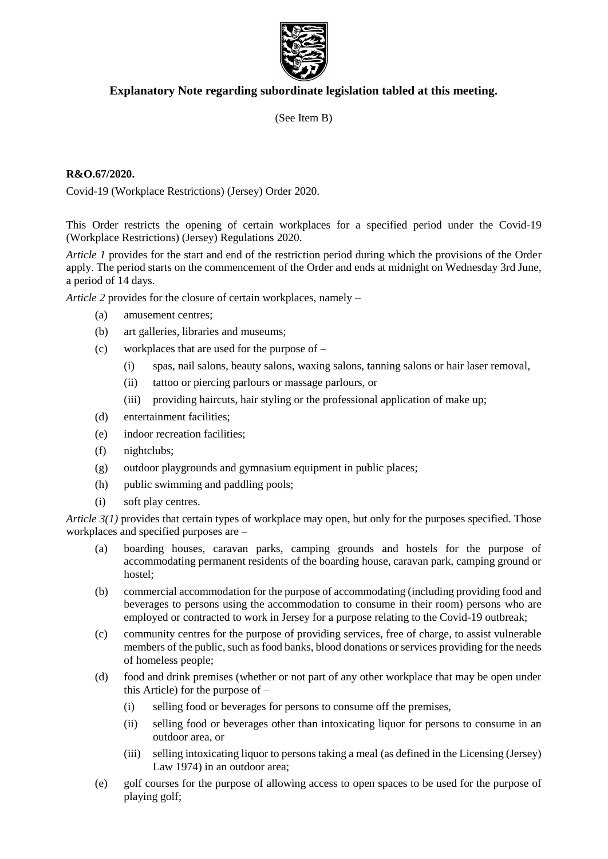

## **Explanatory Note regarding subordinate legislation tabled at this meeting.**

(See Item B)

### **R&O.67/2020.**

Covid-19 (Workplace Restrictions) (Jersey) Order 2020.

This Order restricts the opening of certain workplaces for a specified period under the Covid-19 (Workplace Restrictions) (Jersey) Regulations 2020.

*Article 1* provides for the start and end of the restriction period during which the provisions of the Order apply. The period starts on the commencement of the Order and ends at midnight on Wednesday 3rd June, a period of 14 days.

*Article 2* provides for the closure of certain workplaces, namely –

- (a) amusement centres;
- (b) art galleries, libraries and museums;
- (c) workplaces that are used for the purpose of
	- (i) spas, nail salons, beauty salons, waxing salons, tanning salons or hair laser removal,
	- (ii) tattoo or piercing parlours or massage parlours, or
	- (iii) providing haircuts, hair styling or the professional application of make up;
- (d) entertainment facilities;
- (e) indoor recreation facilities;
- (f) nightclubs;
- (g) outdoor playgrounds and gymnasium equipment in public places;
- (h) public swimming and paddling pools;
- (i) soft play centres.

*Article 3(1)* provides that certain types of workplace may open, but only for the purposes specified. Those workplaces and specified purposes are –

- (a) boarding houses, caravan parks, camping grounds and hostels for the purpose of accommodating permanent residents of the boarding house, caravan park, camping ground or hostel;
- (b) commercial accommodation for the purpose of accommodating (including providing food and beverages to persons using the accommodation to consume in their room) persons who are employed or contracted to work in Jersey for a purpose relating to the Covid-19 outbreak;
- (c) community centres for the purpose of providing services, free of charge, to assist vulnerable members of the public, such as food banks, blood donations or services providing for the needs of homeless people;
- (d) food and drink premises (whether or not part of any other workplace that may be open under this Article) for the purpose of –
	- (i) selling food or beverages for persons to consume off the premises,
	- (ii) selling food or beverages other than intoxicating liquor for persons to consume in an outdoor area, or
	- (iii) selling intoxicating liquor to persons taking a meal (as defined in the Licensing (Jersey) Law 1974) in an outdoor area;
- (e) golf courses for the purpose of allowing access to open spaces to be used for the purpose of playing golf;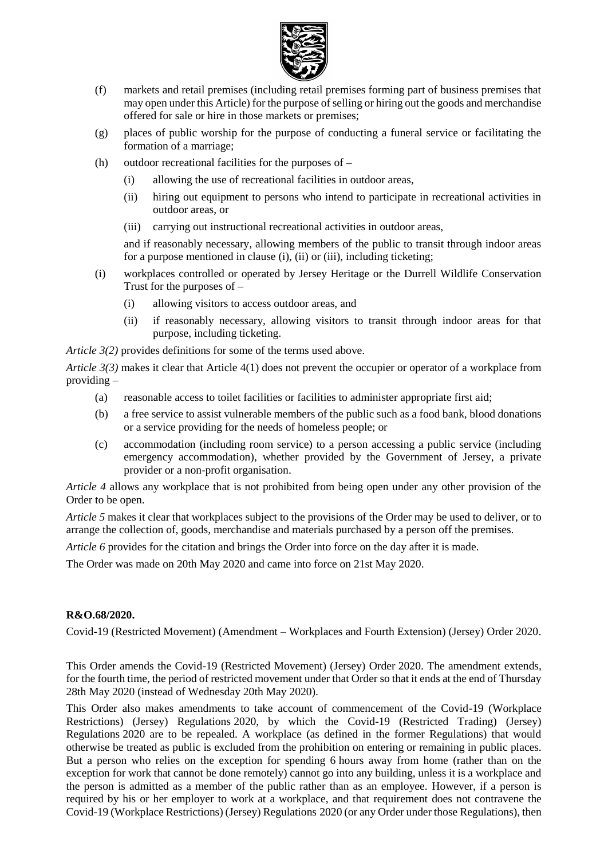

- (f) markets and retail premises (including retail premises forming part of business premises that may open under this Article) for the purpose of selling or hiring out the goods and merchandise offered for sale or hire in those markets or premises;
- (g) places of public worship for the purpose of conducting a funeral service or facilitating the formation of a marriage;
- (h) outdoor recreational facilities for the purposes of
	- (i) allowing the use of recreational facilities in outdoor areas,
	- (ii) hiring out equipment to persons who intend to participate in recreational activities in outdoor areas, or
	- (iii) carrying out instructional recreational activities in outdoor areas,

and if reasonably necessary, allowing members of the public to transit through indoor areas for a purpose mentioned in clause (i), (ii) or (iii), including ticketing;

- (i) workplaces controlled or operated by Jersey Heritage or the Durrell Wildlife Conservation Trust for the purposes of –
	- (i) allowing visitors to access outdoor areas, and
	- (ii) if reasonably necessary, allowing visitors to transit through indoor areas for that purpose, including ticketing.

*Article 3(2)* provides definitions for some of the terms used above.

*Article 3(3)* makes it clear that Article 4(1) does not prevent the occupier or operator of a workplace from providing –

- (a) reasonable access to toilet facilities or facilities to administer appropriate first aid;
- (b) a free service to assist vulnerable members of the public such as a food bank, blood donations or a service providing for the needs of homeless people; or
- (c) accommodation (including room service) to a person accessing a public service (including emergency accommodation), whether provided by the Government of Jersey, a private provider or a non-profit organisation.

*Article 4* allows any workplace that is not prohibited from being open under any other provision of the Order to be open.

*Article 5* makes it clear that workplaces subject to the provisions of the Order may be used to deliver, or to arrange the collection of, goods, merchandise and materials purchased by a person off the premises.

*Article 6* provides for the citation and brings the Order into force on the day after it is made.

The Order was made on 20th May 2020 and came into force on 21st May 2020.

### **R&O.68/2020.**

Covid-19 (Restricted Movement) (Amendment – Workplaces and Fourth Extension) (Jersey) Order 2020.

This Order amends the Covid-19 (Restricted Movement) (Jersey) Order 2020. The amendment extends, for the fourth time, the period of restricted movement under that Order so that it ends at the end of Thursday 28th May 2020 (instead of Wednesday 20th May 2020).

This Order also makes amendments to take account of commencement of the Covid-19 (Workplace Restrictions) (Jersey) Regulations 2020, by which the Covid-19 (Restricted Trading) (Jersey) Regulations 2020 are to be repealed. A workplace (as defined in the former Regulations) that would otherwise be treated as public is excluded from the prohibition on entering or remaining in public places. But a person who relies on the exception for spending 6 hours away from home (rather than on the exception for work that cannot be done remotely) cannot go into any building, unless it is a workplace and the person is admitted as a member of the public rather than as an employee. However, if a person is required by his or her employer to work at a workplace, and that requirement does not contravene the Covid-19 (Workplace Restrictions) (Jersey) Regulations 2020 (or any Order under those Regulations), then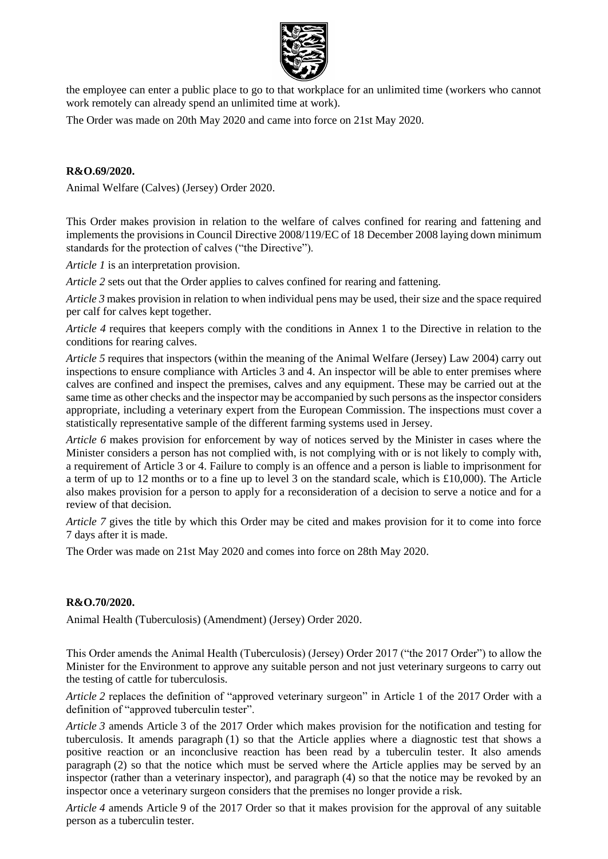

the employee can enter a public place to go to that workplace for an unlimited time (workers who cannot work remotely can already spend an unlimited time at work).

The Order was made on 20th May 2020 and came into force on 21st May 2020.

### **R&O.69/2020.**

Animal Welfare (Calves) (Jersey) Order 2020.

This Order makes provision in relation to the welfare of calves confined for rearing and fattening and implements the provisions in Council Directive 2008/119/EC of 18 December 2008 laying down minimum standards for the protection of calves ("the Directive").

*Article 1* is an interpretation provision.

*Article 2* sets out that the Order applies to calves confined for rearing and fattening.

*Article 3* makes provision in relation to when individual pens may be used, their size and the space required per calf for calves kept together.

*Article 4* requires that keepers comply with the conditions in Annex 1 to the Directive in relation to the conditions for rearing calves.

*Article 5* requires that inspectors (within the meaning of the Animal Welfare (Jersey) Law 2004) carry out inspections to ensure compliance with Articles 3 and 4. An inspector will be able to enter premises where calves are confined and inspect the premises, calves and any equipment. These may be carried out at the same time as other checks and the inspector may be accompanied by such persons as the inspector considers appropriate, including a veterinary expert from the European Commission. The inspections must cover a statistically representative sample of the different farming systems used in Jersey.

*Article 6* makes provision for enforcement by way of notices served by the Minister in cases where the Minister considers a person has not complied with, is not complying with or is not likely to comply with, a requirement of Article 3 or 4. Failure to comply is an offence and a person is liable to imprisonment for a term of up to 12 months or to a fine up to level 3 on the standard scale, which is £10,000). The Article also makes provision for a person to apply for a reconsideration of a decision to serve a notice and for a review of that decision.

*Article 7* gives the title by which this Order may be cited and makes provision for it to come into force 7 days after it is made.

The Order was made on 21st May 2020 and comes into force on 28th May 2020.

### **R&O.70/2020.**

Animal Health (Tuberculosis) (Amendment) (Jersey) Order 2020.

This Order amends the Animal Health (Tuberculosis) (Jersey) Order 2017 ("the 2017 Order") to allow the Minister for the Environment to approve any suitable person and not just veterinary surgeons to carry out the testing of cattle for tuberculosis.

*Article 2* replaces the definition of "approved veterinary surgeon" in Article 1 of the 2017 Order with a definition of "approved tuberculin tester".

*Article 3* amends Article 3 of the 2017 Order which makes provision for the notification and testing for tuberculosis. It amends paragraph (1) so that the Article applies where a diagnostic test that shows a positive reaction or an inconclusive reaction has been read by a tuberculin tester. It also amends paragraph (2) so that the notice which must be served where the Article applies may be served by an inspector (rather than a veterinary inspector), and paragraph (4) so that the notice may be revoked by an inspector once a veterinary surgeon considers that the premises no longer provide a risk.

*Article 4* amends Article 9 of the 2017 Order so that it makes provision for the approval of any suitable person as a tuberculin tester.